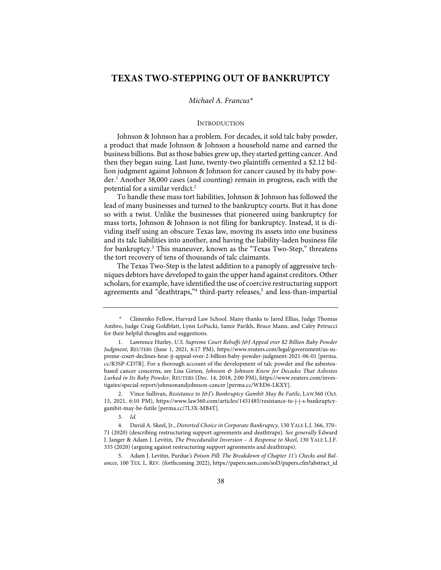# **TEXAS TWO-STEPPING OUT OF BANKRUPTCY**

### *Michael A. Francus\**

### INTRODUCTION

Johnson & Johnson has a problem. For decades, it sold talc baby powder, a product that made Johnson & Johnson a household name and earned the business billions. But as those babies grew up, they started getting cancer. And then they began suing. Last June, twenty-two plaintiffs cemented a \$2.12 billion judgment against Johnson & Johnson for cancer caused by its baby powder.<sup>1</sup> Another 38,000 cases (and counting) remain in progress, each with the potential for a similar verdict.2

To handle these mass tort liabilities, Johnson & Johnson has followed the lead of many businesses and turned to the bankruptcy courts. But it has done so with a twist. Unlike the businesses that pioneered using bankruptcy for mass torts, Johnson & Johnson is not filing for bankruptcy. Instead, it is dividing itself using an obscure Texas law, moving its assets into one business and its talc liabilities into another, and having the liability-laden business file for bankruptcy.<sup>3</sup> This maneuver, known as the "Texas Two-Step," threatens the tort recovery of tens of thousands of talc claimants.

The Texas Two-Step is the latest addition to a panoply of aggressive techniques debtors have developed to gain the upper hand against creditors. Other scholars, for example, have identified the use of coercive restructuring support agreements and "deathtraps,"<sup>4</sup> third-party releases,<sup>5</sup> and less-than-impartial

2. Vince Sullivan, *Resistance to J&J's Bankruptcy Gambit May Be Futile*, LAW360 (Oct. 15, 2021, 6:10 PM), https://www.law360.com/articles/1431485/resistance-to-j-j-s-bankruptcygambit-may-be-futile [perma.cc/7L3X-MB4T].

3. *Id.*

5. Adam J. Levitin, Purdue*'s Poison Pill: The Breakdown of Chapter 11's Checks and Balances*, 100 TEX. L. REV. (forthcoming 2022), https://papers.ssrn.com/sol3/papers.cfm?abstract\_id

*<sup>\*</sup>* Climenko Fellow, Harvard Law School. Many thanks to Jared Ellias, Judge Thomas Ambro, Judge Craig Goldblatt, Lynn LoPucki, Samir Parikh, Bruce Mann, and Caley Petrucci for their helpful thoughts and suggestions.

<sup>1.</sup> Lawrence Hurley, *U.S. Supreme Court Rebuffs J&J Appeal over \$2 Billion Baby Powder Judgment*, REUTERS (June 1, 2021, 6:17 PM), https://www.reuters.com/legal/government/us-supreme-court-declines-hear-jj-appeal-over-2-billion-baby-powder-judgment-2021-06-01 [perma. cc/R3SP-CD7R]. For a thorough account of the development of talc powder and the asbestosbased cancer concerns, see Lisa Girion, *Johnson & Johnson Knew for Decades That Asbestos Lurked in Its Baby Powder*, REUTERS (Dec. 14, 2018, 2:00 PM), https://www.reuters.com/investigates/special-report/johnsonandjohnson-cancer [perma.cc/WED6-LKXY].

<sup>4.</sup> David A. Skeel, Jr., *Distorted Choice in Corporate Bankruptcy*, 130 YALE L.J. 366, 370– 71 (2020) (describing restructuring support agreements and deathtraps). *See generally* Edward J. Janger & Adam J. Levitin, *The Proceduralist Inversion – A Response to Skeel*, 130 YALE L.J.F. 335 (2020) (arguing against restructuring support agreements and deathtraps).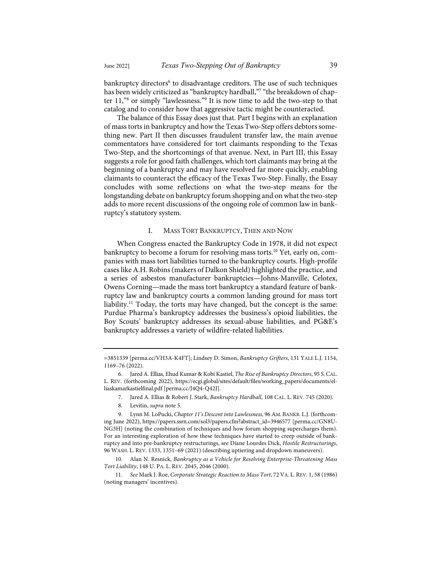bankruptcy directors<sup>6</sup> to disadvantage creditors. The use of such techniques has been widely criticized as "bankruptcy hardball,"7 "the breakdown of chapter 11,"8 or simply "lawlessness."9 It is now time to add the two-step to that catalog and to consider how that aggressive tactic might be counteracted.

The balance of this Essay does just that. Part I begins with an explanation of mass torts in bankruptcy and how the Texas Two-Step offers debtors something new. Part II then discusses fraudulent transfer law, the main avenue commentators have considered for tort claimants responding to the Texas Two-Step, and the shortcomings of that avenue. Next, in Part III, this Essay suggests a role for good faith challenges, which tort claimants may bring at the beginning of a bankruptcy and may have resolved far more quickly, enabling claimants to counteract the efficacy of the Texas Two-Step. Finally, the Essay concludes with some reflections on what the two-step means for the longstanding debate on bankruptcy forum shopping and on what the two-step adds to more recent discussions of the ongoing role of common law in bankruptcy's statutory system.

### I. MASS TORT BANKRUPTCY, THEN AND NOW

When Congress enacted the Bankruptcy Code in 1978, it did not expect bankruptcy to become a forum for resolving mass torts.<sup>10</sup> Yet, early on, companies with mass tort liabilities turned to the bankruptcy courts. High-profile cases like A.H. Robins (makers of Dalkon Shield) highlighted the practice, and a series of asbestos manufacturer bankruptcies—Johns-Manville, Celotex, Owens Corning—made the mass tort bankruptcy a standard feature of bankruptcy law and bankruptcy courts a common landing ground for mass tort liability.<sup>11</sup> Today, the torts may have changed, but the concept is the same: Purdue Pharma's bankruptcy addresses the business's opioid liabilities, the Boy Scouts' bankruptcy addresses its sexual-abuse liabilities, and PG&E's bankruptcy addresses a variety of wildfire-related liabilities.

7. Jared A. Ellias & Robert J. Stark, *Bankruptcy Hardball*, 108 CAL. L. REV. 745 (2020).

<sup>=3851339</sup> [perma.cc/VH3A-K4FT]; Lindsey D. Simon, *Bankruptcy Grifters*, 131 YALE L.J. 1154, 1169–76 (2022).

<sup>6.</sup> Jared A. Ellias, Ehud Kumar & Kobi Kastiel, *The Rise of Bankruptcy Directors*, 95 S.CAL. L. REV. (forthcoming 2022), https://ecgi.global/sites/default/files/working\_papers/documents/elliaskamarkastielfinal.pdf [perma.cc/J4Q4-Q42J].

<sup>8.</sup> Levitin, *supra* note 5.

<sup>9.</sup> Lynn M. LoPucki, *Chapter 11's Descent into Lawlessness*, 96 AM. BANKR. L.J. (forthcoming June 2022), https://papers.ssrn.com/sol3/papers.cfm?abstract\_id=3946577 [perma.cc/GN8U-NG3H] (noting the combination of techniques and how forum shopping supercharges them). For an interesting exploration of how these techniques have started to creep outside of bankruptcy and into pre-bankruptcy restructurings, see Diane Lourdes Dick, *Hostile Restructurings*, 96 WASH. L. REV. 1333, 1351–69 (2021) (describing uptiering and dropdown maneuvers).

<sup>10.</sup> Alan N. Resnick, *Bankruptcy as a Vehicle for Resolving Enterprise-Threatening Mass Tort Liability*, 148 U. PA. L. REV. 2045, 2046 (2000).

<sup>11.</sup> *See* Mark J. Roe, *Corporate Strategic Reaction to Mass Tort*, 72 VA. L. REV. 1, 58 (1986) (noting managers' incentives).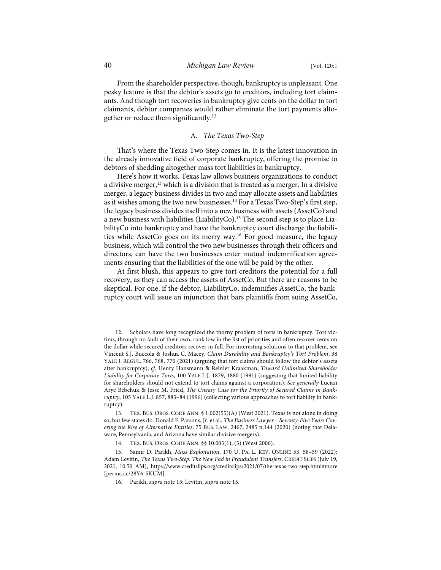From the shareholder perspective, though, bankruptcy is unpleasant. One pesky feature is that the debtor's assets go to creditors, including tort claimants. And though tort recoveries in bankruptcy give cents on the dollar to tort claimants, debtor companies would rather eliminate the tort payments altogether or reduce them significantly.12

# A. *The Texas Two-Step*

That's where the Texas Two-Step comes in. It is the latest innovation in the already innovative field of corporate bankruptcy, offering the promise to debtors of shedding altogether mass tort liabilities in bankruptcy.

Here's how it works. Texas law allows business organizations to conduct a divisive merger, $13$  which is a division that is treated as a merger. In a divisive merger, a legacy business divides in two and may allocate assets and liabilities as it wishes among the two new businesses.<sup>14</sup> For a Texas Two-Step's first step, the legacy business divides itself into a new business with assets (AssetCo) and a new business with liabilities (LiabilityCo).<sup>15</sup> The second step is to place LiabilityCo into bankruptcy and have the bankruptcy court discharge the liabilities while AssetCo goes on its merry way.<sup>16</sup> For good measure, the legacy business, which will control the two new businesses through their officers and directors, can have the two businesses enter mutual indemnification agreements ensuring that the liabilities of the one will be paid by the other.

At first blush, this appears to give tort creditors the potential for a full recovery, as they can access the assets of AssetCo. But there are reasons to be skeptical. For one, if the debtor, LiabilityCo, indemnifies AssetCo, the bankruptcy court will issue an injunction that bars plaintiffs from suing AssetCo,

Scholars have long recognized the thorny problem of torts in bankruptcy. Tort victims, through no fault of their own, rank low in the list of priorities and often recover cents on the dollar while secured creditors recover in full. For interesting solutions to that problem, see Vincent S.J. Buccola & Joshua C. Macey, *Claim Durability and Bankruptcy's Tort Problem*, 38 YALE J. REGUL. 766, 768, 770 (2021) (arguing that tort claims should follow the debtor's assets after bankruptcy); *cf.* Henry Hansmann & Reinier Kraakman, *Toward Unlimited Shareholder Liability for Corporate Torts*, 100 YALE L.J. 1879, 1880 (1991) (suggesting that limited liability for shareholders should not extend to tort claims against a corporation). *See generally* Lucian Arye Bebchuk & Jesse M. Fried, *The Uneasy Case for the Priority of Secured Claims in Bankruptcy*, 105 YALE L.J. 857, 883–84 (1996) (collecting various approaches to tort liability in bankruptcy).

<sup>13.</sup> TEX. BUS. ORGS. CODE ANN. § 1.002(55)(A) (West 2021). Texas is not alone in doing so, but few states do. Donald F. Parsons, Jr. et al., *The Business Lawyer—Seventy-Five Years Covering the Rise of Alternative Entities*, 75 BUS. LAW. 2467, 2485 n.144 (2020) (noting that Delaware, Pennsylvania, and Arizona have similar divisive mergers).

<sup>14.</sup> TEX. BUS. ORGS. CODE ANN. §§ 10.003(1), (3) (West 2006).

<sup>15.</sup> Samir D. Parikh, *Mass Exploitation*, 170 U. PA. L. REV. ONLINE 53, 58–59 (2022); Adam Levitin, *The Texas Two-Step: The New Fad in Fraudulent Transfers*, CREDIT SLIPS (July 19, 2021, 10:50 AM), https://www.creditslips.org/creditslips/2021/07/the-texas-two-step.html#more [perma.cc/28Y6-5KUM].

<sup>16.</sup> Parikh, *supra* note 15; Levitin, *supra* note 15.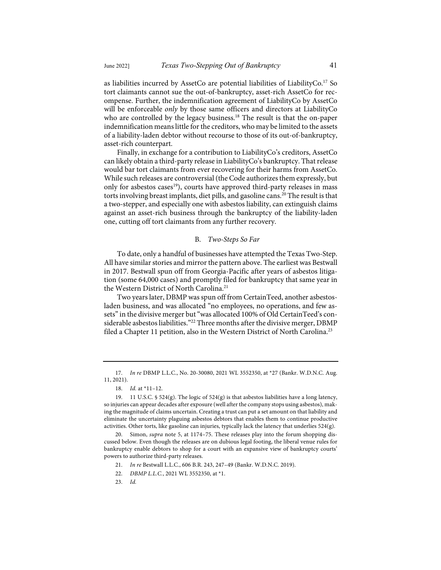as liabilities incurred by AssetCo are potential liabilities of LiabilityCo.<sup>17</sup> So tort claimants cannot sue the out-of-bankruptcy, asset-rich AssetCo for recompense. Further, the indemnification agreement of LiabilityCo by AssetCo will be enforceable *only* by those same officers and directors at LiabilityCo who are controlled by the legacy business.<sup>18</sup> The result is that the on-paper indemnification means little for the creditors, who may be limited to the assets of a liability-laden debtor without recourse to those of its out-of-bankruptcy, asset-rich counterpart.

Finally, in exchange for a contribution to LiabilityCo's creditors, AssetCo can likely obtain a third-party release in LiabilityCo's bankruptcy. That release would bar tort claimants from ever recovering for their harms from AssetCo. While such releases are controversial (the Code authorizes them expressly, but only for asbestos cases<sup>19</sup>), courts have approved third-party releases in mass torts involving breast implants, diet pills, and gasoline cans. <sup>20</sup> The result is that a two-stepper, and especially one with asbestos liability, can extinguish claims against an asset-rich business through the bankruptcy of the liability-laden one, cutting off tort claimants from any further recovery.

# B. *Two-Steps So Far*

To date, only a handful of businesses have attempted the Texas Two-Step. All have similar stories and mirror the pattern above. The earliest was Bestwall in 2017. Bestwall spun off from Georgia-Pacific after years of asbestos litigation (some 64,000 cases) and promptly filed for bankruptcy that same year in the Western District of North Carolina.<sup>21</sup>

Two years later, DBMP was spun off from CertainTeed, another asbestosladen business, and was allocated "no employees, no operations, and few assets" in the divisive merger but "was allocated 100% of Old CertainTeed's considerable asbestos liabilities."<sup>22</sup> Three months after the divisive merger, DBMP filed a Chapter 11 petition, also in the Western District of North Carolina.<sup>23</sup>

<sup>17.</sup> *In re* DBMP L.L.C., No. 20-30080, 2021 WL 3552350, at \*27 (Bankr. W.D.N.C. Aug. 11, 2021).

<sup>18.</sup> *Id.* at \*11–12.

<sup>19. 11</sup> U.S.C. § 524(g). The logic of  $524(g)$  is that asbestos liabilities have a long latency, so injuries can appear decades after exposure (well after the company stops using asbestos), making the magnitude of claims uncertain. Creating a trust can put a set amount on that liability and eliminate the uncertainty plaguing asbestos debtors that enables them to continue productive activities. Other torts, like gasoline can injuries, typically lack the latency that underlies 524(g).

<sup>20.</sup> Simon, *supra* note 5, at 1174–75. These releases play into the forum shopping discussed below. Even though the releases are on dubious legal footing, the liberal venue rules for bankruptcy enable debtors to shop for a court with an expansive view of bankruptcy courts' powers to authorize third-party releases.

<sup>21.</sup> *In re* Bestwall L.L.C., 606 B.R. 243, 247–49 (Bankr. W.D.N.C. 2019).

<sup>22.</sup> *DBMP L.L.C.*, 2021 WL 3552350, at \*1.

<sup>23.</sup> *Id.*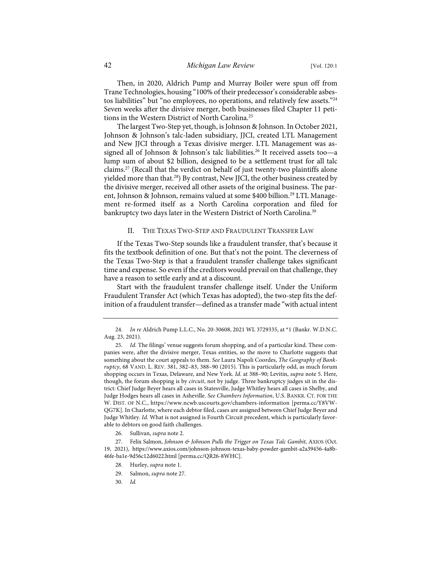Then, in 2020, Aldrich Pump and Murray Boiler were spun off from Trane Technologies, housing "100% of their predecessor's considerable asbestos liabilities" but "no employees, no operations, and relatively few assets."24 Seven weeks after the divisive merger, both businesses filed Chapter 11 petitions in the Western District of North Carolina.<sup>25</sup>

The largest Two-Step yet, though, is Johnson & Johnson. In October 2021, Johnson & Johnson's talc-laden subsidiary, JJCI, created LTL Management and New JJCI through a Texas divisive merger. LTL Management was assigned all of Johnson & Johnson's talc liabilities. <sup>26</sup> It received assets too—a lump sum of about \$2 billion, designed to be a settlement trust for all talc claims. <sup>27</sup> (Recall that the verdict on behalf of just twenty-two plaintiffs alone yielded more than that.<sup>28</sup>) By contrast, New JJCI, the other business created by the divisive merger, received all other assets of the original business. The parent, Johnson & Johnson, remains valued at some \$400 billion. <sup>29</sup> LTL Management re-formed itself as a North Carolina corporation and filed for bankruptcy two days later in the Western District of North Carolina.<sup>30</sup>

### II. THE TEXAS TWO-STEP AND FRAUDULENT TRANSFER LAW

If the Texas Two-Step sounds like a fraudulent transfer, that's because it fits the textbook definition of one. But that's not the point. The cleverness of the Texas Two-Step is that a fraudulent transfer challenge takes significant time and expense. So even if the creditors would prevail on that challenge, they have a reason to settle early and at a discount.

Start with the fraudulent transfer challenge itself. Under the Uniform Fraudulent Transfer Act (which Texas has adopted), the two-step fits the definition of a fraudulent transfer—defined as a transfer made "with actual intent

26. Sullivan, *supra* note 2.

- 28. Hurley, *supra* note 1.
- 29. Salmon, *supra* note 27.
- 30. *Id.*

<sup>24.</sup> *In re* Aldrich Pump L.L.C., No. 20-30608, 2021 WL 3729335, at \*1 (Bankr. W.D.N.C. Aug. 23, 2021).

<sup>25.</sup> *Id.* The filings' venue suggests forum shopping, and of a particular kind. These companies were, after the divisive merger, Texas entities, so the move to Charlotte suggests that something about the court appeals to them. *See* Laura Napoli Coordes, *The Geography of Bankruptcy*, 68 VAND. L. REV. 381, 382–83, 388–90 (2015). This is particularly odd, as much forum shopping occurs in Texas, Delaware, and New York. *Id.* at 388–90; Levitin, *supra* note 5. Here, though, the forum shopping is by *circuit*, not by judge. Three bankruptcy judges sit in the district: Chief Judge Beyer hears all cases in Statesville, Judge Whitley hears all cases in Shelby, and Judge Hodges hears all cases in Asheville. *See Chambers Information*, U.S. BANKR. CT. FOR THE W. DIST. OF N.C., https://www.ncwb.uscourts.gov/chambers-information [perma.cc/Y8VW-QG7K]. In Charlotte, where each debtor filed, cases are assigned between Chief Judge Beyer and Judge Whitley. *Id.* What is not assigned is Fourth Circuit precedent, which is particularly favorable to debtors on good faith challenges.

<sup>27.</sup> Felix Salmon, *Johnson & Johnson Pulls the Trigger on Texas Talc Gambit*, AXIOS (Oct. 19, 2021), https://www.axios.com/johnson-johnson-texas-baby-powder-gambit-a2a39456-4a8b-46fe-ba1e-9d56c12d6022.html [perma.cc/QR26-8WHC].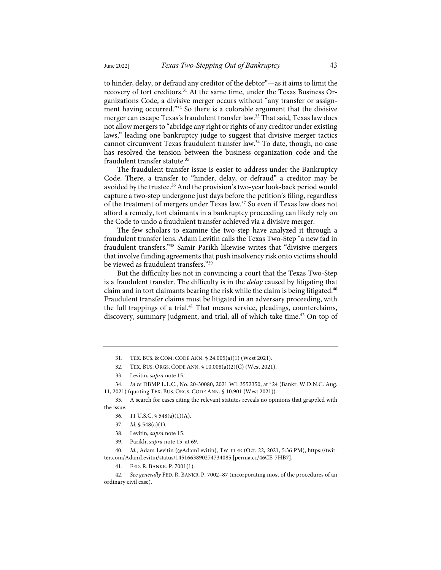to hinder, delay, or defraud any creditor of the debtor"—as it aims to limit the recovery of tort creditors.<sup>31</sup> At the same time, under the Texas Business Organizations Code, a divisive merger occurs without "any transfer or assignment having occurred."<sup>32</sup> So there is a colorable argument that the divisive merger can escape Texas's fraudulent transfer law.<sup>33</sup> That said, Texas law does not allow mergers to "abridge any right or rights of any creditor under existing laws," leading one bankruptcy judge to suggest that divisive merger tactics cannot circumvent Texas fraudulent transfer law.<sup>34</sup> To date, though, no case has resolved the tension between the business organization code and the fraudulent transfer statute.<sup>35</sup>

The fraudulent transfer issue is easier to address under the Bankruptcy Code. There, a transfer to "hinder, delay, or defraud" a creditor may be avoided by the trustee.<sup>36</sup> And the provision's two-year look-back period would capture a two-step undergone just days before the petition's filing, regardless of the treatment of mergers under Texas law.37 So even if Texas law does not afford a remedy, tort claimants in a bankruptcy proceeding can likely rely on the Code to undo a fraudulent transfer achieved via a divisive merger.

The few scholars to examine the two-step have analyzed it through a fraudulent transfer lens. Adam Levitin calls the Texas Two-Step "a new fad in fraudulent transfers."38 Samir Parikh likewise writes that "divisive mergers that involve funding agreements that push insolvency risk onto victims should be viewed as fraudulent transfers."39

But the difficulty lies not in convincing a court that the Texas Two-Step is a fraudulent transfer. The difficulty is in the *delay* caused by litigating that claim and in tort claimants bearing the risk while the claim is being litigated. $40$ Fraudulent transfer claims must be litigated in an adversary proceeding, with the full trappings of a trial.<sup>41</sup> That means service, pleadings, counterclaims, discovery, summary judgment, and trial, all of which take time.<sup>42</sup> On top of

35. A search for cases citing the relevant statutes reveals no opinions that grappled with the issue.

- 36. 11 U.S.C. § 548(a)(1)(A).
- 37. *Id.* § 548(a)(1).
- 38. Levitin, *supra* note 15.
- 39. Parikh, *supra* note 15, at 69.

40. *Id.*; Adam Levitin (@AdamLevitin), TWITTER (Oct. 22, 2021, 5:36 PM), https://twitter.com/AdamLevitin/status/1451663890274734085 [perma.cc/46CE-7HB7].

41. FED. R. BANKR. P. 7001(1).

See generally FED. R. BANKR. P. 7002-87 (incorporating most of the procedures of an ordinary civil case).

<sup>31.</sup> TEX. BUS. & COM. CODE ANN. § 24.005(a)(1) (West 2021).

<sup>32.</sup> TEX. BUS. ORGS. CODE ANN. § 10.008(a)(2)(C) (West 2021).

<sup>33.</sup> Levitin, *supra* note 15.

<sup>34.</sup> *In re* DBMP L.L.C., No. 20-30080, 2021 WL 3552350, at \*24 (Bankr. W.D.N.C. Aug. 11, 2021) (quoting TEX. BUS. ORGS. CODE ANN. § 10.901 (West 2021)).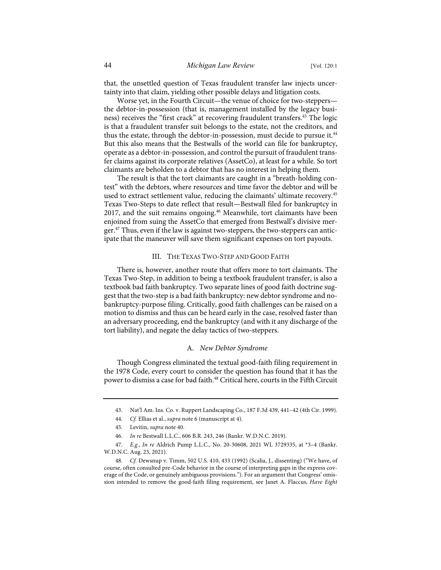that, the unsettled question of Texas fraudulent transfer law injects uncertainty into that claim, yielding other possible delays and litigation costs.

Worse yet, in the Fourth Circuit—the venue of choice for two-steppers the debtor-in-possession (that is, management installed by the legacy business) receives the "first crack" at recovering fraudulent transfers.<sup>43</sup> The logic is that a fraudulent transfer suit belongs to the estate, not the creditors, and thus the estate, through the debtor-in-possession, must decide to pursue it.<sup>44</sup> But this also means that the Bestwalls of the world can file for bankruptcy, operate as a debtor-in-possession, and control the pursuit of fraudulent transfer claims against its corporate relatives (AssetCo), at least for a while. So tort claimants are beholden to a debtor that has no interest in helping them.

The result is that the tort claimants are caught in a "breath-holding contest" with the debtors, where resources and time favor the debtor and will be used to extract settlement value, reducing the claimants' ultimate recovery.<sup>45</sup> Texas Two-Steps to date reflect that result—Bestwall filed for bankruptcy in 2017, and the suit remains ongoing.<sup>46</sup> Meanwhile, tort claimants have been enjoined from suing the AssetCo that emerged from Bestwall's divisive merger.<sup>47</sup> Thus, even if the law is against two-steppers, the two-steppers can anticipate that the maneuver will save them significant expenses on tort payouts.

# III. THE TEXAS TWO-STEP AND GOOD FAITH

There is, however, another route that offers more to tort claimants. The Texas Two-Step, in addition to being a textbook fraudulent transfer, is also a textbook bad faith bankruptcy. Two separate lines of good faith doctrine suggest that the two-step is a bad faith bankruptcy: new debtor syndrome and nobankruptcy-purpose filing. Critically, good faith challenges can be raised on a motion to dismiss and thus can be heard early in the case, resolved faster than an adversary proceeding, end the bankruptcy (and with it any discharge of the tort liability), and negate the delay tactics of two-steppers.

# A. *New Debtor Syndrome*

Though Congress eliminated the textual good-faith filing requirement in the 1978 Code, every court to consider the question has found that it has the power to dismiss a case for bad faith.<sup>48</sup> Critical here, courts in the Fifth Circuit

<sup>43.</sup> Nat'l Am. Ins. Co. v. Ruppert Landscaping Co., 187 F.3d 439, 441–42 (4th Cir. 1999).

<sup>44.</sup> *Cf.* Ellias et al., *supra* note 6 (manuscript at 4).

<sup>45.</sup> Levitin, *supra* note 40.

<sup>46.</sup> *In re* Bestwall L.L.C., 606 B.R. 243, 246 (Bankr. W.D.N.C. 2019).

<sup>47.</sup> *E.g.*, *In re* Aldrich Pump L.L.C., No. 20-30608, 2021 WL 3729335, at \*3–4 (Bankr. W.D.N.C. Aug. 23, 2021).

<sup>48.</sup> *Cf.* Dewsnup v. Timm, 502 U.S. 410, 433 (1992) (Scalia, J., dissenting) ("We have, of course, often consulted pre-Code behavior in the course of interpreting gaps in the express coverage of the Code, or genuinely ambiguous provisions."). For an argument that Congress' omission intended to remove the good-faith filing requirement, see Janet A. Flaccus, *Have Eight*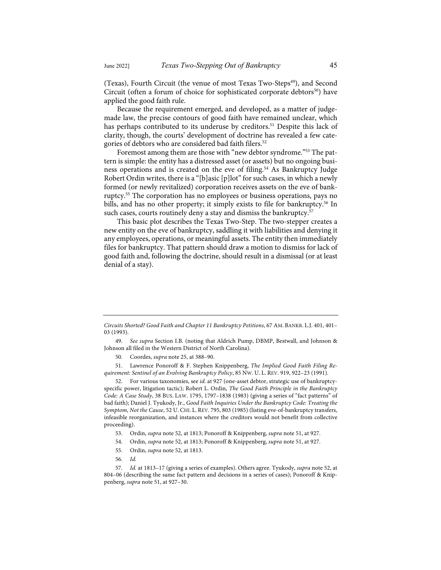(Texas), Fourth Circuit (the venue of most Texas Two-Steps<sup>49</sup>), and Second Circuit (often a forum of choice for sophisticated corporate debtors<sup>50</sup>) have applied the good faith rule.

Because the requirement emerged, and developed, as a matter of judgemade law, the precise contours of good faith have remained unclear, which has perhaps contributed to its underuse by creditors.<sup>51</sup> Despite this lack of clarity, though, the courts' development of doctrine has revealed a few categories of debtors who are considered bad faith filers.<sup>52</sup>

Foremost among them are those with "new debtor syndrome."53 The pattern is simple: the entity has a distressed asset (or assets) but no ongoing business operations and is created on the eve of filing.<sup>54</sup> As Bankruptcy Judge Robert Ordin writes, there is a "[b]asic [p]lot" for such cases, in which a newly formed (or newly revitalized) corporation receives assets on the eve of bankruptcy.<sup>55</sup> The corporation has no employees or business operations, pays no bills, and has no other property; it simply exists to file for bankruptcy.<sup>56</sup> In such cases, courts routinely deny a stay and dismiss the bankruptcy.<sup>57</sup>

This basic plot describes the Texas Two-Step. The two-stepper creates a new entity on the eve of bankruptcy, saddling it with liabilities and denying it any employees, operations, or meaningful assets. The entity then immediately files for bankruptcy. That pattern should draw a motion to dismiss for lack of good faith and, following the doctrine, should result in a dismissal (or at least denial of a stay).

51. Lawrence Ponoroff & F. Stephen Knippenberg, *The Implied Good Faith Filing Requirement: Sentinel of an Evolving Bankruptcy Policy*, 85 NW. U. L. REV. 919, 922–23 (1991).

52. For various taxonomies, see *id.* at 927 (one-asset debtor, strategic use of bankruptcyspecific power, litigation tactic); Robert L. Ordin, *The Good Faith Principle in the Bankruptcy Code: A Case Study*, 38 BUS. LAW. 1795, 1797–1838 (1983) (giving a series of "fact patterns" of bad faith); Daniel J. Tyukody, Jr., *Good Faith Inquiries Under the Bankruptcy Code: Treating the Symptom, Not the Cause*, 52 U. CHI. L. REV. 795, 803 (1985) (listing eve-of-bankruptcy transfers, infeasible reorganization, and instances where the creditors would not benefit from collective proceeding).

- 54. Ordin, *supra* note 52, at 1813; Ponoroff & Knippenberg, *supra* note 51, at 927.
- 55. Ordin, *supra* note 52, at 1813.
- 56. *Id.*

*Circuits Shorted? Good Faith and Chapter 11 Bankruptcy Petitions*, 67 AM. BANKR. L.J. 401, 401– 03 (1993).

<sup>49.</sup> *See supra* Section I.B. (noting that Aldrich Pump, DBMP, Bestwall, and Johnson & Johnson all filed in the Western District of North Carolina).

<sup>50.</sup> Coordes, *supra* note 25, at 388–90.

<sup>53.</sup> Ordin, *supra* note 52, at 1813; Ponoroff & Knippenberg, *supra* note 51, at 927.

<sup>57.</sup> *Id.* at 1813–17 (giving a series of examples). Others agree. Tyukody, *supra* note 52, at 804–06 (describing the same fact pattern and decisions in a series of cases); Ponoroff & Knippenberg, *supra* note 51, at 927–30.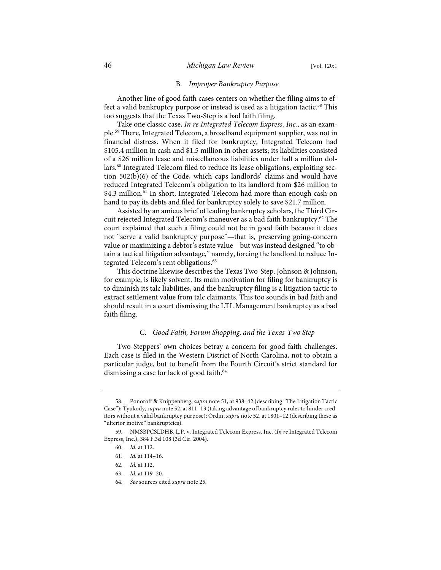### B. *Improper Bankruptcy Purpose*

Another line of good faith cases centers on whether the filing aims to effect a valid bankruptcy purpose or instead is used as a litigation tactic.<sup>58</sup> This too suggests that the Texas Two-Step is a bad faith filing.

Take one classic case, *In re Integrated Telecom Express, Inc.*, as an example.59 There, Integrated Telecom, a broadband equipment supplier, was not in financial distress. When it filed for bankruptcy, Integrated Telecom had \$105.4 million in cash and \$1.5 million in other assets; its liabilities consisted of a \$26 million lease and miscellaneous liabilities under half a million dollars.<sup>60</sup> Integrated Telecom filed to reduce its lease obligations, exploiting section 502(b)(6) of the Code, which caps landlords' claims and would have reduced Integrated Telecom's obligation to its landlord from \$26 million to \$4.3 million.<sup>61</sup> In short, Integrated Telecom had more than enough cash on hand to pay its debts and filed for bankruptcy solely to save \$21.7 million.

Assisted by an amicus brief of leading bankruptcy scholars, the Third Circuit rejected Integrated Telecom's maneuver as a bad faith bankruptcy.<sup>62</sup> The court explained that such a filing could not be in good faith because it does not "serve a valid bankruptcy purpose"—that is, preserving going-concern value or maximizing a debtor's estate value—but was instead designed "to obtain a tactical litigation advantage," namely, forcing the landlord to reduce Integrated Telecom's rent obligations.<sup>63</sup>

This doctrine likewise describes the Texas Two-Step. Johnson & Johnson, for example, is likely solvent. Its main motivation for filing for bankruptcy is to diminish its talc liabilities, and the bankruptcy filing is a litigation tactic to extract settlement value from talc claimants. This too sounds in bad faith and should result in a court dismissing the LTL Management bankruptcy as a bad faith filing.

### C. *Good Faith, Forum Shopping, and the Texas-Two Step*

Two-Steppers' own choices betray a concern for good faith challenges. Each case is filed in the Western District of North Carolina, not to obtain a particular judge, but to benefit from the Fourth Circuit's strict standard for dismissing a case for lack of good faith.<sup>64</sup>

<sup>58.</sup> Ponoroff & Knippenberg, *supra* note 51, at 938–42 (describing "The Litigation Tactic Case"); Tyukody, *supra* note 52, at 811–13 (taking advantage of bankruptcy rules to hinder creditors without a valid bankruptcy purpose); Ordin, *supra* note 52, at 1801–12 (describing these as "ulterior motive" bankruptcies).

<sup>59.</sup> NMSBPCSLDHB, L.P. v. Integrated Telecom Express, Inc. (*In re* Integrated Telecom Express, Inc.), 384 F.3d 108 (3d Cir. 2004).

<sup>60.</sup> *Id.* at 112.

<sup>61.</sup> *Id.* at 114–16.

<sup>62.</sup> *Id.* at 112.

<sup>63.</sup> *Id.* at 119–20.

<sup>64.</sup> *See* sources cited *supra* note 25.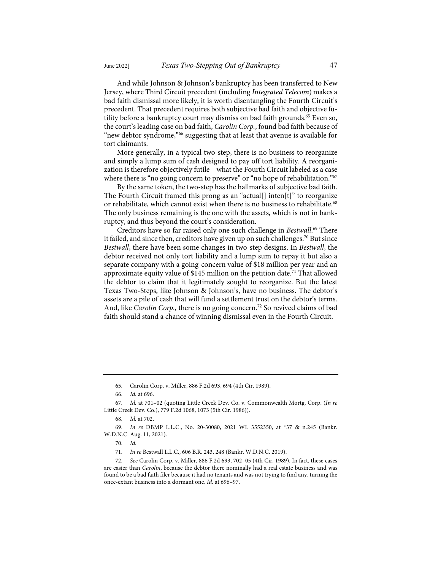And while Johnson & Johnson's bankruptcy has been transferred to New Jersey, where Third Circuit precedent (including *Integrated Telecom*) makes a bad faith dismissal more likely, it is worth disentangling the Fourth Circuit's precedent. That precedent requires both subjective bad faith and objective futility before a bankruptcy court may dismiss on bad faith grounds.<sup>65</sup> Even so, the court's leading case on bad faith, *Carolin Corp.*, found bad faith because of "new debtor syndrome,"66 suggesting that at least that avenue is available for tort claimants.

More generally, in a typical two-step, there is no business to reorganize and simply a lump sum of cash designed to pay off tort liability. A reorganization is therefore objectively futile—what the Fourth Circuit labeled as a case where there is "no going concern to preserve" or "no hope of rehabilitation."<sup>67</sup>

By the same token, the two-step has the hallmarks of subjective bad faith. The Fourth Circuit framed this prong as an "actual[] inten[t]" to reorganize or rehabilitate, which cannot exist when there is no business to rehabilitate.<sup>68</sup> The only business remaining is the one with the assets, which is not in bankruptcy, and thus beyond the court's consideration.

Creditors have so far raised only one such challenge in *Bestwall*. <sup>69</sup> There it failed, and since then, creditors have given up on such challenges.<sup>70</sup> But since *Bestwall*, there have been some changes in two-step designs. In *Bestwall*, the debtor received not only tort liability and a lump sum to repay it but also a separate company with a going-concern value of \$18 million per year and an approximate equity value of \$145 million on the petition date.<sup>71</sup> That allowed the debtor to claim that it legitimately sought to reorganize. But the latest Texas Two-Steps, like Johnson & Johnson's, have no business. The debtor's assets are a pile of cash that will fund a settlement trust on the debtor's terms. And, like *Carolin Corp.*, there is no going concern.72 So revived claims of bad faith should stand a chance of winning dismissal even in the Fourth Circuit.

<sup>65.</sup> Carolin Corp. v. Miller, 886 F.2d 693, 694 (4th Cir. 1989).

<sup>66.</sup> *Id.* at 696.

<sup>67.</sup> *Id.* at 701–02 (quoting Little Creek Dev. Co. v. Commonwealth Mortg. Corp. (*In re* Little Creek Dev. Co.), 779 F.2d 1068, 1073 (5th Cir. 1986)).

<sup>68.</sup> *Id.* at 702.

<sup>69.</sup> *In re* DBMP L.L.C., No. 20-30080, 2021 WL 3552350, at \*37 & n.245 (Bankr. W.D.N.C. Aug. 11, 2021).

<sup>70.</sup> *Id.*

<sup>71.</sup> *In re* Bestwall L.L.C., 606 B.R. 243, 248 (Bankr. W.D.N.C. 2019).

<sup>72.</sup> *See* Carolin Corp. v. Miller, 886 F.2d 693, 702–05 (4th Cir. 1989). In fact, these cases are easier than *Carolin*, because the debtor there nominally had a real estate business and was found to be a bad faith filer because it had no tenants and was not trying to find any, turning the once-extant business into a dormant one. *Id.* at 696–97.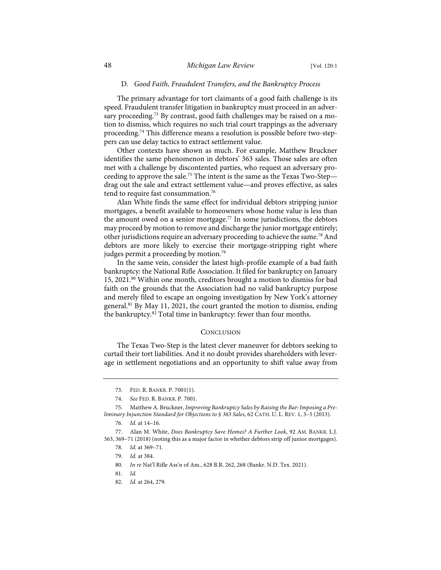### D. *Good Faith, Fraudulent Transfers, and the Bankruptcy Process*

The primary advantage for tort claimants of a good faith challenge is its speed. Fraudulent transfer litigation in bankruptcy must proceed in an adversary proceeding.<sup>73</sup> By contrast, good faith challenges may be raised on a motion to dismiss, which requires no such trial court trappings as the adversary proceeding.74 This difference means a resolution is possible before two-steppers can use delay tactics to extract settlement value.

Other contexts have shown as much. For example, Matthew Bruckner identifies the same phenomenon in debtors' 363 sales. Those sales are often met with a challenge by discontented parties, who request an adversary proceeding to approve the sale.<sup>75</sup> The intent is the same as the Texas Two-Step drag out the sale and extract settlement value—and proves effective, as sales tend to require fast consummation.<sup>76</sup>

Alan White finds the same effect for individual debtors stripping junior mortgages, a benefit available to homeowners whose home value is less than the amount owed on a senior mortgage.<sup>77</sup> In some jurisdictions, the debtors may proceed by motion to remove and discharge the junior mortgage entirely; other jurisdictions require an adversary proceeding to achieve the same.<sup>78</sup> And debtors are more likely to exercise their mortgage-stripping right where judges permit a proceeding by motion.<sup>79</sup>

In the same vein, consider the latest high-profile example of a bad faith bankruptcy: the National Rifle Association. It filed for bankruptcy on January 15, 2021.<sup>80</sup> Within one month, creditors brought a motion to dismiss for bad faith on the grounds that the Association had no valid bankruptcy purpose and merely filed to escape an ongoing investigation by New York's attorney general.<sup>81</sup> By May 11, 2021, the court granted the motion to dismiss, ending the bankruptcy.<sup>82</sup> Total time in bankruptcy: fewer than four months.

#### **CONCLUSION**

The Texas Two-Step is the latest clever maneuver for debtors seeking to curtail their tort liabilities. And it no doubt provides shareholders with leverage in settlement negotiations and an opportunity to shift value away from

<sup>73.</sup> FED. R. BANKR. P. 7001(1).

<sup>74.</sup> *See* FED. R. BANKR. P. 7001.

<sup>75.</sup> Matthew A. Bruckner, *Improving Bankruptcy Sales by Raising the Bar: Imposing a Preliminary Injunction Standard for Objections to § 363 Sales*, 62 CATH. U. L. REV. 1, 3–5 (2013).

<sup>76.</sup> *Id.* at 14–16.

<sup>77.</sup> Alan M. White, *Does Bankruptcy Save Homes? A Further Look*, 92 AM. BANKR. L.J. 363, 369–71 (2018) (noting this as a major factor in whether debtors strip off junior mortgages).

<sup>78.</sup> *Id.* at 369–71.

<sup>79.</sup> *Id.* at 384.

<sup>80.</sup> *In re* Nat'l Rifle Ass'n of Am., 628 B.R. 262, 268 (Bankr. N.D. Tex. 2021).

<sup>81.</sup> *Id.*

<sup>82.</sup> *Id.* at 264, 279.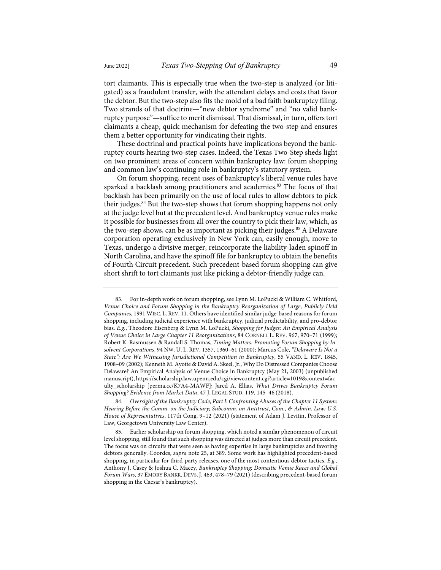tort claimants. This is especially true when the two-step is analyzed (or litigated) as a fraudulent transfer, with the attendant delays and costs that favor the debtor. But the two-step also fits the mold of a bad faith bankruptcy filing. Two strands of that doctrine—"new debtor syndrome" and "no valid bankruptcy purpose"—suffice to merit dismissal. That dismissal, in turn, offers tort claimants a cheap, quick mechanism for defeating the two-step and ensures them a better opportunity for vindicating their rights.

These doctrinal and practical points have implications beyond the bankruptcy courts hearing two-step cases. Indeed, the Texas Two-Step sheds light on two prominent areas of concern within bankruptcy law: forum shopping and common law's continuing role in bankruptcy's statutory system.

On forum shopping, recent uses of bankruptcy's liberal venue rules have sparked a backlash among practitioners and academics.<sup>83</sup> The focus of that backlash has been primarily on the use of local rules to allow debtors to pick their judges.<sup>84</sup> But the two-step shows that forum shopping happens not only at the judge level but at the precedent level. And bankruptcy venue rules make it possible for businesses from all over the country to pick their law, which, as the two-step shows, can be as important as picking their judges.<sup>85</sup> A Delaware corporation operating exclusively in New York can, easily enough, move to Texas, undergo a divisive merger, reincorporate the liability-laden spinoff in North Carolina, and have the spinoff file for bankruptcy to obtain the benefits of Fourth Circuit precedent. Such precedent-based forum shopping can give short shrift to tort claimants just like picking a debtor-friendly judge can.

<sup>83.</sup> For in-depth work on forum shopping, see Lynn M. LoPucki & William C. Whitford, *Venue Choice and Forum Shopping in the Bankruptcy Reorganization of Large, Publicly Held Companies*, 1991 WISC. L. REV. 11. Others have identified similar judge-based reasons for forum shopping, including judicial experience with bankruptcy, judicial predictability, and pro-debtor bias. *E.g.*, Theodore Eisenberg & Lynn M. LoPucki, *Shopping for Judges: An Empirical Analysis of Venue Choice in Large Chapter 11 Reorganizations*, 84 CORNELL L. REV. 967, 970–71 (1999); Robert K. Rasmussen & Randall S. Thomas, *Timing Matters: Promoting Forum Shopping by Insolvent Corporations*, 94 NW. U. L. REV. 1357, 1360–61 (2000); Marcus Cole, *"Delaware Is Not a State": Are We Witnessing Jurisdictional Competition in Bankruptcy*, 55 VAND. L. REV. 1845, 1908–09 (2002); Kenneth M. Ayotte & David A. Skeel, Jr., Why Do Distressed Companies Choose Delaware? An Empirical Analysis of Venue Choice in Bankruptcy (May 21, 2003) (unpublished manuscript), https://scholarship.law.upenn.edu/cgi/viewcontent.cgi?article=1019&context=faculty\_scholarship [perma.cc/K7A4-MAWF]; Jared A. Ellias, *What Drives Bankruptcy Forum Shopping? Evidence from Market Data*, 47 J. LEGAL STUD. 119, 145–46 (2018).

<sup>84.</sup> *Oversight of the Bankruptcy Code, Part I: Confronting Abuses of the Chapter 11 System*: *Hearing Before the Comm. on the Judiciary; Subcomm. on Antitrust, Com., & Admin. Law; U.S. House of Representatives*, 117th Cong. 9–12 (2021) (statement of Adam J. Levitin, Professor of Law, Georgetown University Law Center).

<sup>85.</sup> Earlier scholarship on forum shopping, which noted a similar phenomenon of circuit level shopping, still found that such shopping was directed at judges more than circuit precedent. The focus was on circuits that were seen as having expertise in large bankruptcies and favoring debtors generally. Coordes, *supra* note 25, at 389. Some work has highlighted precedent-based shopping, in particular for third-party releases, one of the most contentious debtor tactics. *E.g.*, Anthony J. Casey & Joshua C. Macey, *Bankruptcy Shopping: Domestic Venue Races and Global Forum Wars*, 37 EMORY BANKR. DEVS. J. 463, 478–79 (2021) (describing precedent-based forum shopping in the Caesar's bankruptcy).